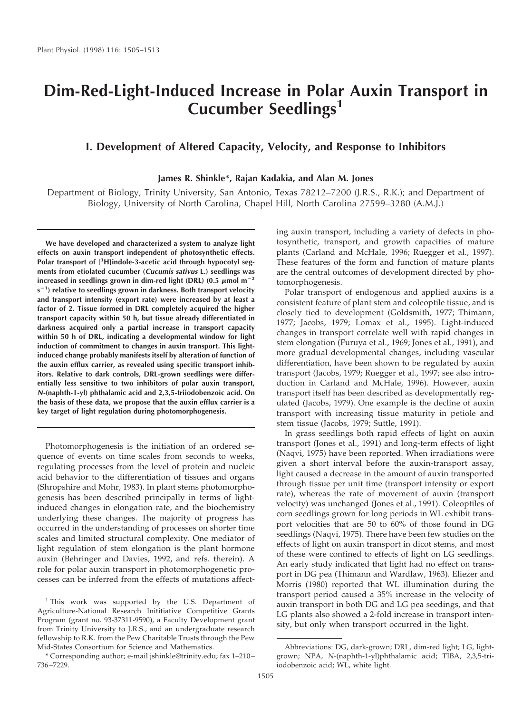# **Dim-Red-Light-Induced Increase in Polar Auxin Transport in Cucumber Seedlings<sup>1</sup>**

# **I. Development of Altered Capacity, Velocity, and Response to Inhibitors**

## **James R. Shinkle\*, Rajan Kadakia, and Alan M. Jones**

Department of Biology, Trinity University, San Antonio, Texas 78212–7200 (J.R.S., R.K.); and Department of Biology, University of North Carolina, Chapel Hill, North Carolina 27599–3280 (A.M.J.)

**We have developed and characterized a system to analyze light effects on auxin transport independent of photosynthetic effects. Polar transport of [<sup>3</sup> H]indole-3-acetic acid through hypocotyl segments from etiolated cucumber (Cucumis sativus L.) seedlings was** increased in seedlings grown in dim-red light (DRL) (0.5  $\mu$ mol m<sup>-2</sup> **s** 2**1 ) relative to seedlings grown in darkness. Both transport velocity and transport intensity (export rate) were increased by at least a factor of 2. Tissue formed in DRL completely acquired the higher transport capacity within 50 h, but tissue already differentiated in darkness acquired only a partial increase in transport capacity within 50 h of DRL, indicating a developmental window for light induction of commitment to changes in auxin transport. This lightinduced change probably manifests itself by alteration of function of the auxin efflux carrier, as revealed using specific transport inhibitors. Relative to dark controls, DRL-grown seedlings were differentially less sensitive to two inhibitors of polar auxin transport, N-(naphth-1-yl) phthalamic acid and 2,3,5-triiodobenzoic acid. On the basis of these data, we propose that the auxin efflux carrier is a key target of light regulation during photomorphogenesis.**

Photomorphogenesis is the initiation of an ordered sequence of events on time scales from seconds to weeks, regulating processes from the level of protein and nucleic acid behavior to the differentiation of tissues and organs (Shropshire and Mohr, 1983). In plant stems photomorphogenesis has been described principally in terms of lightinduced changes in elongation rate, and the biochemistry underlying these changes. The majority of progress has occurred in the understanding of processes on shorter time scales and limited structural complexity. One mediator of light regulation of stem elongation is the plant hormone auxin (Behringer and Davies, 1992, and refs. therein). A role for polar auxin transport in photomorphogenetic processes can be inferred from the effects of mutations affecting auxin transport, including a variety of defects in photosynthetic, transport, and growth capacities of mature plants (Carland and McHale, 1996; Ruegger et al., 1997). These features of the form and function of mature plants are the central outcomes of development directed by photomorphogenesis.

Polar transport of endogenous and applied auxins is a consistent feature of plant stem and coleoptile tissue, and is closely tied to development (Goldsmith, 1977; Thimann, 1977; Jacobs, 1979; Lomax et al., 1995). Light-induced changes in transport correlate well with rapid changes in stem elongation (Furuya et al., 1969; Jones et al., 1991), and more gradual developmental changes, including vascular differentiation, have been shown to be regulated by auxin transport (Jacobs, 1979; Ruegger et al., 1997; see also introduction in Carland and McHale, 1996). However, auxin transport itself has been described as developmentally regulated (Jacobs, 1979). One example is the decline of auxin transport with increasing tissue maturity in petiole and stem tissue (Jacobs, 1979; Suttle, 1991).

In grass seedlings both rapid effects of light on auxin transport (Jones et al., 1991) and long-term effects of light (Naqvi, 1975) have been reported. When irradiations were given a short interval before the auxin-transport assay, light caused a decrease in the amount of auxin transported through tissue per unit time (transport intensity or export rate), whereas the rate of movement of auxin (transport velocity) was unchanged (Jones et al., 1991). Coleoptiles of corn seedlings grown for long periods in WL exhibit transport velocities that are 50 to 60% of those found in DG seedlings (Naqvi, 1975). There have been few studies on the effects of light on auxin transport in dicot stems, and most of these were confined to effects of light on LG seedlings. An early study indicated that light had no effect on transport in DG pea (Thimann and Wardlaw, 1963). Eliezer and Morris (1980) reported that WL illumination during the transport period caused a 35% increase in the velocity of auxin transport in both DG and LG pea seedings, and that LG plants also showed a 2-fold increase in transport intensity, but only when transport occurred in the light.

<sup>&</sup>lt;sup>1</sup> This work was supported by the U.S. Department of Agriculture-National Research Inititiative Competitive Grants Program (grant no. 93-37311-9590), a Faculty Development grant from Trinity University to J.R.S., and an undergraduate research fellowship to R.K. from the Pew Charitable Trusts through the Pew Mid-States Consortium for Science and Mathematics.

<sup>\*</sup> Corresponding author; e-mail jshinkle@trinity.edu; fax 1–210– 736–7229.

Abbreviations: DG, dark-grown; DRL, dim-red light; LG, lightgrown; NPA, *N-*(naphth-1-yl)phthalamic acid; TIBA, 2,3,5-triiodobenzoic acid; WL, white light.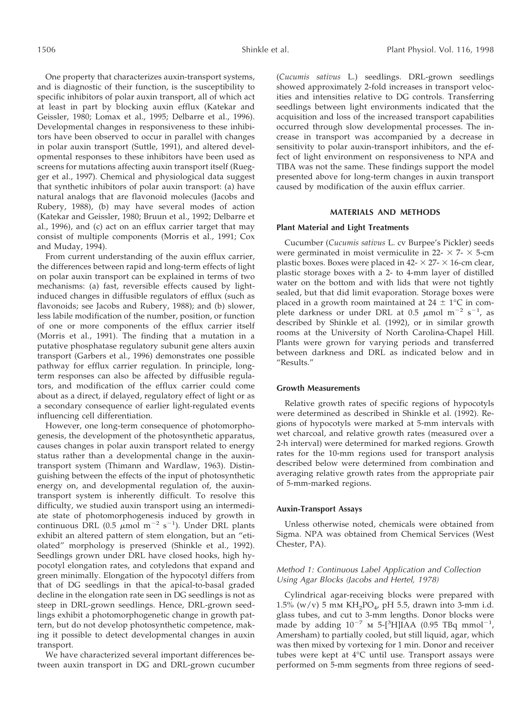One property that characterizes auxin-transport systems, and is diagnostic of their function, is the susceptibility to specific inhibitors of polar auxin transport, all of which act at least in part by blocking auxin efflux (Katekar and Geissler, 1980; Lomax et al., 1995; Delbarre et al., 1996). Developmental changes in responsiveness to these inhibitors have been observed to occur in parallel with changes in polar auxin transport (Suttle, 1991), and altered developmental responses to these inhibitors have been used as screens for mutations affecting auxin transport itself (Ruegger et al., 1997). Chemical and physiological data suggest that synthetic inhibitors of polar auxin transport: (a) have natural analogs that are flavonoid molecules (Jacobs and Rubery, 1988), (b) may have several modes of action (Katekar and Geissler, 1980; Bruun et al., 1992; Delbarre et al., 1996), and (c) act on an efflux carrier target that may consist of multiple components (Morris et al., 1991; Cox and Muday, 1994).

From current understanding of the auxin efflux carrier, the differences between rapid and long-term effects of light on polar auxin transport can be explained in terms of two mechanisms: (a) fast, reversible effects caused by lightinduced changes in diffusible regulators of efflux (such as flavonoids; see Jacobs and Rubery, 1988); and (b) slower, less labile modification of the number, position, or function of one or more components of the efflux carrier itself (Morris et al., 1991). The finding that a mutation in a putative phosphatase regulatory subunit gene alters auxin transport (Garbers et al., 1996) demonstrates one possible pathway for efflux carrier regulation. In principle, longterm responses can also be affected by diffusible regulators, and modification of the efflux carrier could come about as a direct, if delayed, regulatory effect of light or as a secondary consequence of earlier light-regulated events influencing cell differentiation.

However, one long-term consequence of photomorphogenesis, the development of the photosynthetic apparatus, causes changes in polar auxin transport related to energy status rather than a developmental change in the auxintransport system (Thimann and Wardlaw, 1963). Distinguishing between the effects of the input of photosynthetic energy on, and developmental regulation of, the auxintransport system is inherently difficult. To resolve this difficulty, we studied auxin transport using an intermediate state of photomorphogenesis induced by growth in continuous DRL (0.5  $\mu$ mol m<sup>-2</sup> s<sup>-1</sup>). Under DRL plants exhibit an altered pattern of stem elongation, but an "etiolated" morphology is preserved (Shinkle et al., 1992). Seedlings grown under DRL have closed hooks, high hypocotyl elongation rates, and cotyledons that expand and green minimally. Elongation of the hypocotyl differs from that of DG seedlings in that the apical-to-basal graded decline in the elongation rate seen in DG seedlings is not as steep in DRL-grown seedlings. Hence, DRL-grown seedlings exhibit a photomorphogenetic change in growth pattern, but do not develop photosynthetic competence, making it possible to detect developmental changes in auxin transport.

We have characterized several important differences between auxin transport in DG and DRL-grown cucumber (*Cucumis sativus* L.) seedlings. DRL-grown seedlings showed approximately 2-fold increases in transport velocities and intensities relative to DG controls. Transferring seedlings between light environments indicated that the acquisition and loss of the increased transport capabilities occurred through slow developmental processes. The increase in transport was accompanied by a decrease in sensitivity to polar auxin-transport inhibitors, and the effect of light environment on responsiveness to NPA and TIBA was not the same. These findings support the model presented above for long-term changes in auxin transport caused by modification of the auxin efflux carrier.

## **MATERIALS AND METHODS**

#### **Plant Material and Light Treatments**

Cucumber (*Cucumis sativus* L. cv Burpee's Pickler) seeds were germinated in moist vermiculite in 22-  $\times$  7-  $\times$  5-cm plastic boxes. Boxes were placed in 42- $\times$  27- $\times$  16-cm clear, plastic storage boxes with a 2- to 4-mm layer of distilled water on the bottom and with lids that were not tightly sealed, but that did limit evaporation. Storage boxes were placed in a growth room maintained at  $24 \pm 1$ °C in complete darkness or under DRL at 0.5  $\mu$ mol m<sup>-2</sup> s<sup>-1</sup>, as described by Shinkle et al. (1992), or in similar growth rooms at the University of North Carolina-Chapel Hill. Plants were grown for varying periods and transferred between darkness and DRL as indicated below and in "Results."

### **Growth Measurements**

Relative growth rates of specific regions of hypocotyls were determined as described in Shinkle et al. (1992). Regions of hypocotyls were marked at 5-mm intervals with wet charcoal, and relative growth rates (measured over a 2-h interval) were determined for marked regions. Growth rates for the 10-mm regions used for transport analysis described below were determined from combination and averaging relative growth rates from the appropriate pair of 5-mm-marked regions.

#### **Auxin-Transport Assays**

Unless otherwise noted, chemicals were obtained from Sigma. NPA was obtained from Chemical Services (West Chester, PA).

## Method 1: Continuous Label Application and Collection Using Agar Blocks (Jacobs and Hertel, 1978)

Cylindrical agar-receiving blocks were prepared with 1.5% (w/v) 5 mm  $KH_2PO_4$ , pH 5.5, drawn into 3-mm i.d. glass tubes, and cut to 3-mm lengths. Donor blocks were made by adding  $10^{-7}$  m 5-[<sup>3</sup>H]IAA (0.95 TBq mmol<sup>-1</sup>, Amersham) to partially cooled, but still liquid, agar, which was then mixed by vortexing for 1 min. Donor and receiver tubes were kept at 4°C until use. Transport assays were performed on 5-mm segments from three regions of seed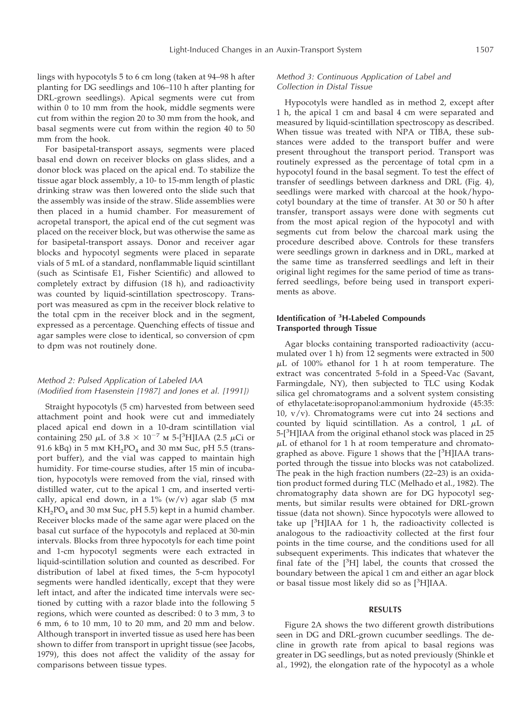lings with hypocotyls 5 to 6 cm long (taken at 94–98 h after planting for DG seedlings and 106–110 h after planting for DRL-grown seedlings). Apical segments were cut from within 0 to 10 mm from the hook, middle segments were cut from within the region 20 to 30 mm from the hook, and basal segments were cut from within the region 40 to 50 mm from the hook.

For basipetal-transport assays, segments were placed basal end down on receiver blocks on glass slides, and a donor block was placed on the apical end. To stabilize the tissue agar block assembly, a 10- to 15-mm length of plastic drinking straw was then lowered onto the slide such that the assembly was inside of the straw. Slide assemblies were then placed in a humid chamber. For measurement of acropetal transport, the apical end of the cut segment was placed on the receiver block, but was otherwise the same as for basipetal-transport assays. Donor and receiver agar blocks and hypocotyl segments were placed in separate vials of 5 mL of a standard, nonflammable liquid scintillant (such as Scintisafe E1, Fisher Scientific) and allowed to completely extract by diffusion (18 h), and radioactivity was counted by liquid-scintillation spectroscopy. Transport was measured as cpm in the receiver block relative to the total cpm in the receiver block and in the segment, expressed as a percentage. Quenching effects of tissue and agar samples were close to identical, so conversion of cpm to dpm was not routinely done.

# Method 2: Pulsed Application of Labeled IAA (Modified from Hasenstein [1987] and Jones et al. [1991])

Straight hypocotyls (5 cm) harvested from between seed attachment point and hook were cut and immediately placed apical end down in a 10-dram scintillation vial containing 250  $\mu$ L of 3.8  $\times$  10<sup>-7</sup> m 5-[<sup>3</sup>H]IAA (2.5  $\mu$ Ci or 91.6 kBq) in 5 mm  $KH_2PO_4$  and 30 mm Suc, pH 5.5 (transport buffer), and the vial was capped to maintain high humidity. For time-course studies, after 15 min of incubation, hypocotyls were removed from the vial, rinsed with distilled water, cut to the apical 1 cm, and inserted vertically, apical end down, in a  $1\%$  (w/v) agar slab (5 mm  $KH<sub>2</sub>PO<sub>4</sub>$  and 30 mm Suc, pH 5.5) kept in a humid chamber. Receiver blocks made of the same agar were placed on the basal cut surface of the hypocotyls and replaced at 30-min intervals. Blocks from three hypocotyls for each time point and 1-cm hypocotyl segments were each extracted in liquid-scintillation solution and counted as described. For distribution of label at fixed times, the 5-cm hypocotyl segments were handled identically, except that they were left intact, and after the indicated time intervals were sectioned by cutting with a razor blade into the following 5 regions, which were counted as described: 0 to 3 mm, 3 to 6 mm, 6 to 10 mm, 10 to 20 mm, and 20 mm and below. Although transport in inverted tissue as used here has been shown to differ from transport in upright tissue (see Jacobs, 1979), this does not affect the validity of the assay for comparisons between tissue types.

## Method 3: Continuous Application of Label and Collection in Distal Tissue

Hypocotyls were handled as in method 2, except after 1 h, the apical 1 cm and basal 4 cm were separated and measured by liquid-scintillation spectroscopy as described. When tissue was treated with NPA or TIBA, these substances were added to the transport buffer and were present throughout the transport period. Transport was routinely expressed as the percentage of total cpm in a hypocotyl found in the basal segment. To test the effect of transfer of seedlings between darkness and DRL (Fig. 4), seedlings were marked with charcoal at the hook/hypocotyl boundary at the time of transfer. At 30 or 50 h after transfer, transport assays were done with segments cut from the most apical region of the hypocotyl and with segments cut from below the charcoal mark using the procedure described above. Controls for these transfers were seedlings grown in darkness and in DRL, marked at the same time as transferred seedlings and left in their original light regimes for the same period of time as transferred seedlings, before being used in transport experiments as above.

## **Identification of <sup>3</sup> H-Labeled Compounds Transported through Tissue**

Agar blocks containing transported radioactivity (accumulated over 1 h) from 12 segments were extracted in 500  $\mu$ L of 100% ethanol for 1 h at room temperature. The extract was concentrated 5-fold in a Speed-Vac (Savant, Farmingdale, NY), then subjected to TLC using Kodak silica gel chromatograms and a solvent system consisting of ethylacetate:isopropanol:ammonium hydroxide (45:35: 10,  $v/v$ ). Chromatograms were cut into 24 sections and counted by liquid scintillation. As a control, 1  $\mu$ L of 5-[<sup>3</sup>H]IAA from the original ethanol stock was placed in 25  $\mu$ L of ethanol for 1 h at room temperature and chromatographed as above. Figure 1 shows that the [<sup>3</sup>H]IAA transported through the tissue into blocks was not catabolized. The peak in the high fraction numbers (22–23) is an oxidation product formed during TLC (Melhado et al., 1982). The chromatography data shown are for DG hypocotyl segments, but similar results were obtained for DRL-grown tissue (data not shown). Since hypocotyls were allowed to take up [<sup>3</sup>H]IAA for 1 h, the radioactivity collected is analogous to the radioactivity collected at the first four points in the time course, and the conditions used for all subsequent experiments. This indicates that whatever the final fate of the  $[3H]$  label, the counts that crossed the boundary between the apical 1 cm and either an agar block or basal tissue most likely did so as [<sup>3</sup>H]IAA.

## **RESULTS**

Figure 2A shows the two different growth distributions seen in DG and DRL-grown cucumber seedlings. The decline in growth rate from apical to basal regions was greater in DG seedlings, but as noted previously (Shinkle et al., 1992), the elongation rate of the hypocotyl as a whole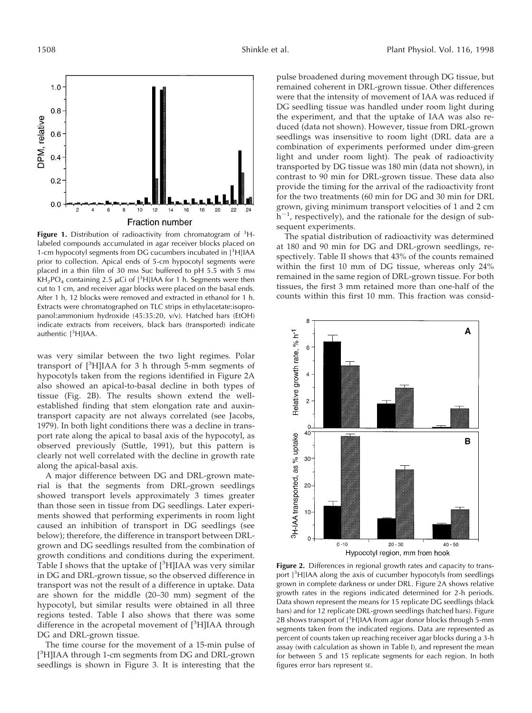

Figure 1. Distribution of radioactivity from chromatogram of <sup>3</sup>Hlabeled compounds accumulated in agar receiver blocks placed on 1-cm hypocotyl segments from DG cucumbers incubated in [<sup>3</sup>H]IAA prior to collection. Apical ends of 5-cm hypocotyl segments were placed in a thin film of 30 mm Suc buffered to pH 5.5 with 5 mm  $KH<sub>2</sub>PO<sub>4</sub> containing 2.5  $\mu$ Ci of [³H]IAA for 1 h. Segments were then$ cut to 1 cm, and receiver agar blocks were placed on the basal ends. After 1 h, 12 blocks were removed and extracted in ethanol for 1 h. Extracts were chromatographed on TLC strips in ethylacetate:isopropanol:ammonium hydroxide (45:35:20, v/v). Hatched bars (EtOH) indicate extracts from receivers, black bars (transported) indicate authentic [<sup>3</sup>H]IAA.

was very similar between the two light regimes. Polar transport of [<sup>3</sup> H]IAA for 3 h through 5-mm segments of hypocotyls taken from the regions identified in Figure 2A also showed an apical-to-basal decline in both types of tissue (Fig. 2B). The results shown extend the wellestablished finding that stem elongation rate and auxintransport capacity are not always correlated (see Jacobs, 1979). In both light conditions there was a decline in transport rate along the apical to basal axis of the hypocotyl, as observed previously (Suttle, 1991), but this pattern is clearly not well correlated with the decline in growth rate along the apical-basal axis.

A major difference between DG and DRL-grown material is that the segments from DRL-grown seedlings showed transport levels approximately 3 times greater than those seen in tissue from DG seedlings. Later experiments showed that performing experiments in room light caused an inhibition of transport in DG seedlings (see below); therefore, the difference in transport between DRLgrown and DG seedlings resulted from the combination of growth conditions and conditions during the experiment. Table I shows that the uptake of [<sup>3</sup>H]IAA was very similar in DG and DRL-grown tissue, so the observed difference in transport was not the result of a difference in uptake. Data are shown for the middle (20–30 mm) segment of the hypocotyl, but similar results were obtained in all three regions tested. Table I also shows that there was some difference in the acropetal movement of [3H]IAA through DG and DRL-grown tissue.

The time course for the movement of a 15-min pulse of [<sup>3</sup>H]IAA through 1-cm segments from DG and DRL-grown seedlings is shown in Figure 3. It is interesting that the

pulse broadened during movement through DG tissue, but remained coherent in DRL-grown tissue. Other differences were that the intensity of movement of IAA was reduced if DG seedling tissue was handled under room light during the experiment, and that the uptake of IAA was also reduced (data not shown). However, tissue from DRL-grown seedlings was insensitive to room light (DRL data are a combination of experiments performed under dim-green light and under room light). The peak of radioactivity transported by DG tissue was 180 min (data not shown), in contrast to 90 min for DRL-grown tissue. These data also provide the timing for the arrival of the radioactivity front for the two treatments (60 min for DG and 30 min for DRL grown, giving minimum transport velocities of 1 and 2 cm  $h^{-1}$ , respectively), and the rationale for the design of subsequent experiments.

The spatial distribution of radioactivity was determined at 180 and 90 min for DG and DRL-grown seedlings, respectively. Table II shows that 43% of the counts remained within the first 10 mm of DG tissue, whereas only 24% remained in the same region of DRL-grown tissue. For both tissues, the first 3 mm retained more than one-half of the counts within this first 10 mm. This fraction was consid-



**Figure 2.** Differences in regional growth rates and capacity to transport [<sup>3</sup>H]IAA along the axis of cucumber hypocotyls from seedlings grown in complete darkness or under DRL. Figure 2A shows relative growth rates in the regions indicated determined for 2-h periods. Data shown represent the means for 15 replicate DG seedlings (black bars) and for 12 replicate DRL-grown seedlings (hatched bars). Figure 2B shows transport of  $[3H]$ IAA from agar donor blocks through 5-mm segments taken from the indicated regions. Data are represented as percent of counts taken up reaching receiver agar blocks during a 3-h assay (with calculation as shown in Table I), and represent the mean for between 5 and 15 replicate segments for each region. In both figures error bars represent SE.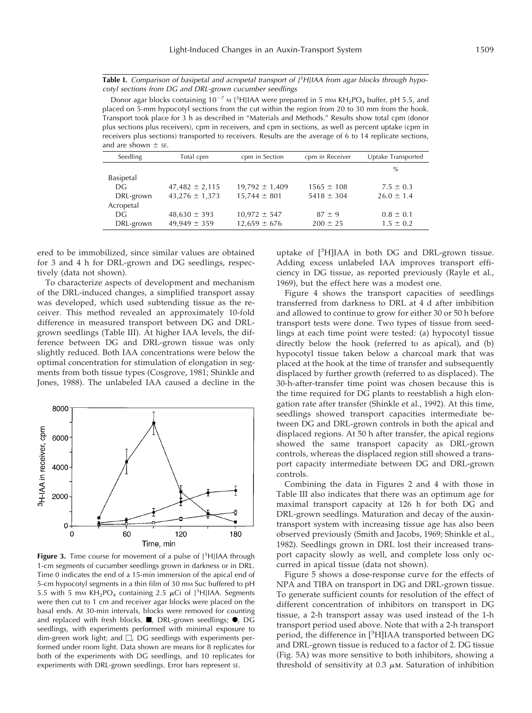**Table I.** Comparison of basipetal and acropetal transport of <sup>3</sup>H]IAA from agar blocks through hypocotyl sections from DG and DRL-grown cucumber seedlings

Donor agar blocks containing  $10^{-7}$  M [<sup>3</sup>H]IAA were prepared in 5 mm KH<sub>2</sub>PO<sub>4</sub> buffer, pH 5.5, and placed on 5-mm hypocotyl sections from the cut within the region from 20 to 30 mm from the hook. Transport took place for 3 h as described in "Materials and Methods." Results show total cpm (donor plus sections plus receivers), cpm in receivers, and cpm in sections, as well as percent uptake (cpm in receivers plus sections) transported to receivers. Results are the average of 6 to 14 replicate sections, and are shown  $\pm$  se.

| Seedling  | Total cpm          | cpm in Section     | cpm in Receiver | Uptake Transported |
|-----------|--------------------|--------------------|-----------------|--------------------|
|           |                    |                    |                 | $\%$               |
| Basipetal |                    |                    |                 |                    |
| DG        | $47,482 \pm 2,115$ | $19,792 \pm 1,409$ | $1565 \pm 108$  | $7.5 \pm 0.3$      |
| DRL-grown | $43,276 \pm 1,373$ | $15,744 \pm 801$   | $5418 \pm 304$  | $26.0 \pm 1.4$     |
| Acropetal |                    |                    |                 |                    |
| DG        | $48,630 \pm 393$   | $10,972 \pm 547$   | $87 \pm 9$      | $0.8 \pm 0.1$      |
| DRL-grown | $49,949 \pm 359$   | $12,659 \pm 676$   | $200 \pm 25$    | $1.5 \pm 0.2$      |
|           |                    |                    |                 |                    |

ered to be immobilized, since similar values are obtained for 3 and 4 h for DRL-grown and DG seedlings, respectively (data not shown).

To characterize aspects of development and mechanism of the DRL-induced changes, a simplified transport assay was developed, which used subtending tissue as the receiver. This method revealed an approximately 10-fold difference in measured transport between DG and DRLgrown seedlings (Table III). At higher IAA levels, the difference between DG and DRL-grown tissue was only slightly reduced. Both IAA concentrations were below the optimal concentration for stimulation of elongation in segments from both tissue types (Cosgrove, 1981; Shinkle and Jones, 1988). The unlabeled IAA caused a decline in the



Figure 3. Time course for movement of a pulse of [<sup>3</sup>H]IAA through 1-cm segments of cucumber seedlings grown in darkness or in DRL. Time 0 indicates the end of a 15-min immersion of the apical end of 5-cm hypocotyl segments in a thin film of 30 mm Suc buffered to pH 5.5 with 5 mm  $KH_2PO_4$  containing 2.5  $\mu$ Ci of [<sup>3</sup>H]IAA. Segments were then cut to 1 cm and receiver agar blocks were placed on the basal ends. At 30-min intervals, blocks were removed for counting and replaced with fresh blocks.  $\blacksquare$ , DRL-grown seedlings;  $\blacklozenge$ , DG seedlings, with experiments performed with minimal exposure to dim-green work light; and  $\Box$ , DG seedlings with experiments performed under room light. Data shown are means for 8 replicates for both of the experiments with DG seedlings, and 10 replicates for experiments with DRL-grown seedlings. Error bars represent SE.

uptake of [<sup>3</sup> H]IAA in both DG and DRL-grown tissue. Adding excess unlabeled IAA improves transport efficiency in DG tissue, as reported previously (Rayle et al., 1969), but the effect here was a modest one.

Figure 4 shows the transport capacities of seedlings transferred from darkness to DRL at 4 d after imbibition and allowed to continue to grow for either 30 or 50 h before transport tests were done. Two types of tissue from seedlings at each time point were tested: (a) hypocotyl tissue directly below the hook (referred to as apical), and (b) hypocotyl tissue taken below a charcoal mark that was placed at the hook at the time of transfer and subsequently displaced by further growth (referred to as displaced). The 30-h-after-transfer time point was chosen because this is the time required for DG plants to reestablish a high elongation rate after transfer (Shinkle et al., 1992). At this time, seedlings showed transport capacities intermediate between DG and DRL-grown controls in both the apical and displaced regions. At 50 h after transfer, the apical regions showed the same transport capacity as DRL-grown controls, whereas the displaced region still showed a transport capacity intermediate between DG and DRL-grown controls.

Combining the data in Figures 2 and 4 with those in Table III also indicates that there was an optimum age for maximal transport capacity at 126 h for both DG and DRL-grown seedlings. Maturation and decay of the auxintransport system with increasing tissue age has also been observed previously (Smith and Jacobs, 1969; Shinkle et al., 1982). Seedlings grown in DRL lost their increased transport capacity slowly as well, and complete loss only occurred in apical tissue (data not shown).

Figure 5 shows a dose-response curve for the effects of NPA and TIBA on transport in DG and DRL-grown tissue. To generate sufficient counts for resolution of the effect of different concentration of inhibitors on transport in DG tissue, a 2-h transport assay was used instead of the 1-h transport period used above. Note that with a 2-h transport period, the difference in [<sup>3</sup>H]IAA transported between DG and DRL-grown tissue is reduced to a factor of 2. DG tissue (Fig. 5A) was more sensitive to both inhibitors, showing a threshold of sensitivity at  $0.3 \mu$ M. Saturation of inhibition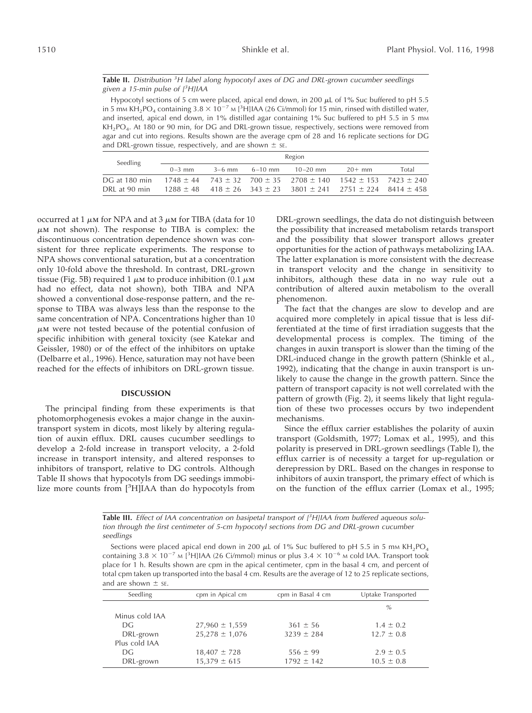**Table II.** Distribution <sup>3</sup>H label along hypocotyl axes of DG and DRL-grown cucumber seedlings given a 15-min pulse of  $[3H] IAA$ 

Hypocotyl sections of 5 cm were placed, apical end down, in 200  $\mu$ L of 1% Suc buffered to pH 5.5 in 5 mm KH<sub>2</sub>PO<sub>4</sub> containing 3.8  $\times$  10<sup>-7</sup> m [<sup>3</sup>H]IAA (26 Ci/mmol) for 15 min, rinsed with distilled water, and inserted, apical end down, in 1% distilled agar containing 1% Suc buffered to pH 5.5 in 5 mm KH<sub>2</sub>PO<sub>4</sub>. At 180 or 90 min, for DG and DRL-grown tissue, respectively, sections were removed from agar and cut into regions. Results shown are the average cpm of 28 and 16 replicate sections for DG and DRL-grown tissue, respectively, and are shown  $\pm$  se.

| Seedling      | Region     |          |             |                                                                                      |          |       |
|---------------|------------|----------|-------------|--------------------------------------------------------------------------------------|----------|-------|
|               | $0 - 3$ mm | $3-6$ mm | $6 - 10$ mm | $10 - 20$ mm                                                                         | $20+$ mm | Total |
| DG at 180 min |            |          |             | $1748 \pm 44$ $743 \pm 32$ $700 \pm 35$ $2708 \pm 140$ $1542 \pm 153$ $7423 \pm 240$ |          |       |
| DRL at 90 min |            |          |             | $1288 \pm 48$ 418 $\pm 26$ 343 $\pm 23$ 3801 $\pm 241$ 2751 $\pm 224$ 8414 $\pm 458$ |          |       |

occurred at 1  $\mu$ m for NPA and at 3  $\mu$ m for TIBA (data for 10  $\mu$ M not shown). The response to TIBA is complex: the discontinuous concentration dependence shown was consistent for three replicate experiments. The response to NPA shows conventional saturation, but at a concentration only 10-fold above the threshold. In contrast, DRL-grown tissue (Fig. 5B) required 1  $\mu$ m to produce inhibition (0.1  $\mu$ m had no effect, data not shown), both TIBA and NPA showed a conventional dose-response pattern, and the response to TIBA was always less than the response to the same concentration of NPA. Concentrations higher than 10  $\mu$ M were not tested because of the potential confusion of specific inhibition with general toxicity (see Katekar and Geissler, 1980) or of the effect of the inhibitors on uptake (Delbarre et al., 1996). Hence, saturation may not have been reached for the effects of inhibitors on DRL-grown tissue.

## **DISCUSSION**

The principal finding from these experiments is that photomorphogenesis evokes a major change in the auxintransport system in dicots, most likely by altering regulation of auxin efflux. DRL causes cucumber seedlings to develop a 2-fold increase in transport velocity, a 2-fold increase in transport intensity, and altered responses to inhibitors of transport, relative to DG controls. Although Table II shows that hypocotyls from DG seedings immobilize more counts from [<sup>3</sup>H]IAA than do hypocotyls from

DRL-grown seedlings, the data do not distinguish between the possibility that increased metabolism retards transport and the possibility that slower transport allows greater opportunities for the action of pathways metabolizing IAA. The latter explanation is more consistent with the decrease in transport velocity and the change in sensitivity to inhibitors, although these data in no way rule out a contribution of altered auxin metabolism to the overall phenomenon.

The fact that the changes are slow to develop and are acquired more completely in apical tissue that is less differentiated at the time of first irradiation suggests that the developmental process is complex. The timing of the changes in auxin transport is slower than the timing of the DRL-induced change in the growth pattern (Shinkle et al., 1992), indicating that the change in auxin transport is unlikely to cause the change in the growth pattern. Since the pattern of transport capacity is not well correlated with the pattern of growth (Fig. 2), it seems likely that light regulation of these two processes occurs by two independent mechanisms.

Since the efflux carrier establishes the polarity of auxin transport (Goldsmith, 1977; Lomax et al., 1995), and this polarity is preserved in DRL-grown seedlings (Table I), the efflux carrier is of necessity a target for up-regulation or derepression by DRL. Based on the changes in response to inhibitors of auxin transport, the primary effect of which is on the function of the efflux carrier (Lomax et al., 1995;

Table III. Effect of IAA concentration on basipetal transport of <sup>3</sup>H]IAA from buffered aqueous solution through the first centimeter of 5-cm hypocotyl sections from DG and DRL-grown cucumber seedlings

Sections were placed apical end down in 200  $\mu$ L of 1% Suc buffered to pH 5.5 in 5 mm KH<sub>2</sub>PO<sub>4</sub> containing 3.8  $\times$  10<sup>-7</sup> M [<sup>3</sup>H]IAA (26 Ci/mmol) minus or plus 3.4  $\times$  10<sup>-6</sup> M cold IAA. Transport took place for 1 h. Results shown are cpm in the apical centimeter, cpm in the basal 4 cm, and percent of total cpm taken up transported into the basal 4 cm. Results are the average of 12 to 25 replicate sections, and are shown  $\pm$  sE.

| Seedling       | cpm in Apical cm   | cpm in Basal 4 cm | Uptake Transported |
|----------------|--------------------|-------------------|--------------------|
|                |                    |                   | $\%$               |
| Minus cold IAA |                    |                   |                    |
| DG.            | $27,960 \pm 1,559$ | $361 \pm 56$      | $1.4 \pm 0.2$      |
| DRL-grown      | $25,278 \pm 1,076$ | $3239 \pm 284$    | $12.7 \pm 0.8$     |
| Plus cold IAA  |                    |                   |                    |
| DG.            | $18,407 \pm 728$   | $556 \pm 99$      | $2.9 \pm 0.5$      |
| DRL-grown      | $15,379 \pm 615$   | $1792 \pm 142$    | $10.5 \pm 0.8$     |
|                |                    |                   |                    |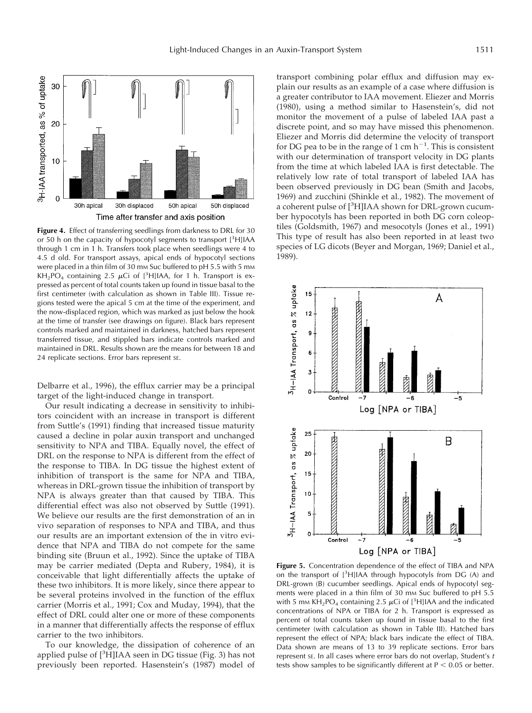

**Figure 4.** Effect of transferring seedlings from darkness to DRL for 30 or 50 h on the capacity of hypocotyl segments to transport [<sup>3</sup>H]IAA through 1 cm in 1 h. Transfers took place when seedlings were 4 to 4.5 d old. For transport assays, apical ends of hypocotyl sections were placed in a thin film of 30 mm Suc buffered to pH 5.5 with 5 mm  $KH<sub>2</sub>PO<sub>4</sub> containing 2.5  $\mu$ Ci of [³H]IAA, for 1 h. Transport is ex$ pressed as percent of total counts taken up found in tissue basal to the first centimeter (with calculation as shown in Table III). Tissue regions tested were the apical 5 cm at the time of the experiment, and the now-displaced region, which was marked as just below the hook at the time of transfer (see drawings on figure). Black bars represent controls marked and maintained in darkness, hatched bars represent transferred tissue, and stippled bars indicate controls marked and maintained in DRL. Results shown are the means for between 18 and 24 replicate sections. Error bars represent SE.

Delbarre et al., 1996), the efflux carrier may be a principal target of the light-induced change in transport.

Our result indicating a decrease in sensitivity to inhibitors coincident with an increase in transport is different from Suttle's (1991) finding that increased tissue maturity caused a decline in polar auxin transport and unchanged sensitivity to NPA and TIBA. Equally novel, the effect of DRL on the response to NPA is different from the effect of the response to TIBA. In DG tissue the highest extent of inhibition of transport is the same for NPA and TIBA, whereas in DRL-grown tissue the inhibition of transport by NPA is always greater than that caused by TIBA. This differential effect was also not observed by Suttle (1991). We believe our results are the first demonstration of an in vivo separation of responses to NPA and TIBA, and thus our results are an important extension of the in vitro evidence that NPA and TIBA do not compete for the same binding site (Bruun et al., 1992). Since the uptake of TIBA may be carrier mediated (Depta and Rubery, 1984), it is conceivable that light differentially affects the uptake of these two inhibitors. It is more likely, since there appear to be several proteins involved in the function of the efflux carrier (Morris et al., 1991; Cox and Muday, 1994), that the effect of DRL could alter one or more of these components in a manner that differentially affects the response of efflux carrier to the two inhibitors.

To our knowledge, the dissipation of coherence of an applied pulse of [<sup>3</sup>H]IAA seen in DG tissue (Fig. 3) has not previously been reported. Hasenstein's (1987) model of

transport combining polar efflux and diffusion may explain our results as an example of a case where diffusion is a greater contributor to IAA movement. Eliezer and Morris (1980), using a method similar to Hasenstein's, did not monitor the movement of a pulse of labeled IAA past a discrete point, and so may have missed this phenomenon. Eliezer and Morris did determine the velocity of transport for DG pea to be in the range of 1 cm  $h^{-1}$ . This is consistent with our determination of transport velocity in DG plants from the time at which labeled IAA is first detectable. The relatively low rate of total transport of labeled IAA has been observed previously in DG bean (Smith and Jacobs, 1969) and zucchini (Shinkle et al., 1982). The movement of a coherent pulse of [<sup>3</sup>H]IAA shown for DRL-grown cucumber hypocotyls has been reported in both DG corn coleoptiles (Goldsmith, 1967) and mesocotyls (Jones et al., 1991) This type of result has also been reported in at least two species of LG dicots (Beyer and Morgan, 1969; Daniel et al., 1989).



**Figure 5.** Concentration dependence of the effect of TIBA and NPA on the transport of [<sup>3</sup>H]IAA through hypocotyls from DG (A) and DRL-grown (B) cucumber seedlings. Apical ends of hypocotyl segments were placed in a thin film of 30 mm Suc buffered to pH 5.5 with 5 mm KH<sub>2</sub>PO<sub>4</sub> containing 2.5  $\mu$ Ci of [<sup>3</sup>H]IAA and the indicated concentrations of NPA or TIBA for 2 h. Transport is expressed as percent of total counts taken up found in tissue basal to the first centimeter (with calculation as shown in Table III). Hatched bars represent the effect of NPA; black bars indicate the effect of TIBA. Data shown are means of 13 to 39 replicate sections. Error bars represent se. In all cases where error bars do not overlap, Student's  $t$ tests show samples to be significantly different at  $P < 0.05$  or better.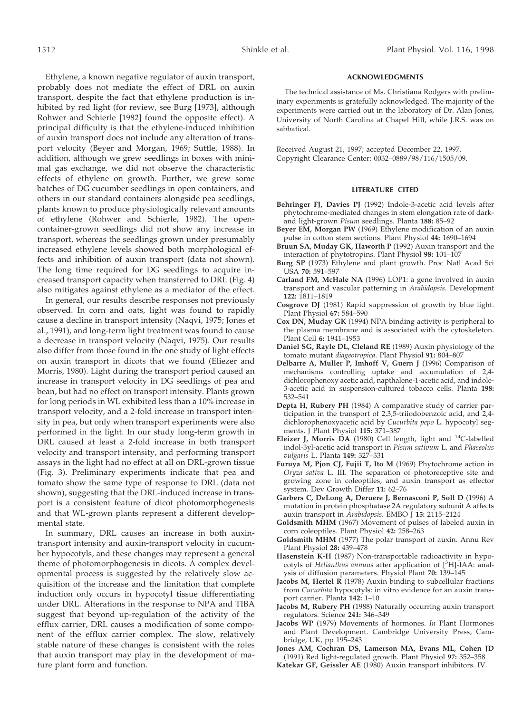Ethylene, a known negative regulator of auxin transport, probably does not mediate the effect of DRL on auxin transport, despite the fact that ethylene production is inhibited by red light (for review, see Burg [1973], although Rohwer and Schierle [1982] found the opposite effect). A principal difficulty is that the ethylene-induced inhibition of auxin transport does not include any alteration of transport velocity (Beyer and Morgan, 1969; Suttle, 1988). In addition, although we grew seedlings in boxes with minimal gas exchange, we did not observe the characteristic effects of ethylene on growth. Further, we grew some batches of DG cucumber seedlings in open containers, and others in our standard containers alongside pea seedlings, plants known to produce physiologically relevant amounts of ethylene (Rohwer and Schierle, 1982). The opencontainer-grown seedlings did not show any increase in transport, whereas the seedlings grown under presumably increased ethylene levels showed both morphological effects and inhibition of auxin transport (data not shown). The long time required for DG seedlings to acquire increased transport capacity when transferred to DRL (Fig. 4) also mitigates against ethylene as a mediator of the effect.

In general, our results describe responses not previously observed. In corn and oats, light was found to rapidly cause a decline in transport intensity (Naqvi, 1975; Jones et al., 1991), and long-term light treatment was found to cause a decrease in transport velocity (Naqvi, 1975). Our results also differ from those found in the one study of light effects on auxin transport in dicots that we found (Eliezer and Morris, 1980). Light during the transport period caused an increase in transport velocity in DG seedlings of pea and bean, but had no effect on transport intensity. Plants grown for long periods in WL exhibited less than a 10% increase in transport velocity, and a 2-fold increase in transport intensity in pea, but only when transport experiments were also performed in the light. In our study long-term growth in DRL caused at least a 2-fold increase in both transport velocity and transport intensity, and performing transport assays in the light had no effect at all on DRL-grown tissue (Fig. 3). Preliminary experiments indicate that pea and tomato show the same type of response to DRL (data not shown), suggesting that the DRL-induced increase in transport is a consistent feature of dicot photomorphogenesis and that WL-grown plants represent a different developmental state.

In summary, DRL causes an increase in both auxintransport intensity and auxin-transport velocity in cucumber hypocotyls, and these changes may represent a general theme of photomorphogenesis in dicots. A complex developmental process is suggested by the relatively slow acquisition of the increase and the limitation that complete induction only occurs in hypocotyl tissue differentiating under DRL. Alterations in the response to NPA and TIBA suggest that beyond up-regulation of the activity of the efflux carrier, DRL causes a modification of some component of the efflux carrier complex. The slow, relatively stable nature of these changes is consistent with the roles that auxin transport may play in the development of mature plant form and function.

## **ACKNOWLEDGMENTS**

The technical assistance of Ms. Christiana Rodgers with preliminary experiments is gratefully acknowledged. The majority of the experiments were carried out in the laboratory of Dr. Alan Jones, University of North Carolina at Chapel Hill, while J.R.S. was on sabbatical.

Received August 21, 1997; accepted December 22, 1997. Copyright Clearance Center: 0032–0889/98/116/1505/09.

#### **LITERATURE CITED**

- **Behringer FJ, Davies PJ** (1992) Indole-3-acetic acid levels after phytochrome-mediated changes in stem elongation rate of darkand light-grown *Pisum* seedlings. Planta **188:** 85–92
- **Beyer EM, Morgan PW** (1969) Ethylene modification of an auxin pulse in cotton stem sections. Plant Physiol **44:** 1690–1694
- **Bruun SA, Muday GK, Haworth P** (1992) Auxin transport and the interaction of phytotropins. Plant Physiol **98:** 101–107
- **Burg SP** (1973) Ethylene and plant growth. Proc Natl Acad Sci USA **70:** 591–597
- **Carland FM, McHale NA** (1996) LOP1: a gene involved in auxin transport and vascular patterning in *Arabidopsis*. Development **122:** 1811–1819
- **Cosgrove DJ** (1981) Rapid suppression of growth by blue light. Plant Physiol **67:** 584–590
- **Cox DN, Muday GK** (1994) NPA binding activity is peripheral to the plasma membrane and is associated with the cytoskeleton. Plant Cell **6:** 1941–1953
- **Daniel SG, Rayle DL, Cleland RE** (1989) Auxin physiology of the tomato mutant *diageotropica*. Plant Physiol **91:** 804–807
- **Delbarre A, Muller P, Imhoff V, Guern J** (1996) Comparison of mechanisms controlling uptake and accumulation of 2,4 dichlorophenoxy acetic acid, napthalene-1-acetic acid, and indole-3-acetic acid in suspension-cultured tobacco cells. Planta **198:** 532–541
- **Depta H, Rubery PH** (1984) A comparative study of carrier participation in the transport of 2,3,5-triiodobenzoic acid, and 2,4 dichlorophenoxyacetic acid by *Cucurbita pepo* L. hypocotyl segments. J Plant Physiol **115:** 371–387
- **Eleizer J, Morris DA** (1980) Cell length, light and 14C-labelled indol-3yl-acetic acid transport in *Pisum sativum* L. and *Phaseolus vulgaris* L. Planta **149:** 327–331
- **Furuya M, Pjon CJ, Fujii T, Ito M** (1969) Phytochrome action in *Oryza sativa* L. III. The separation of photoreceptive site and growing zone in coleoptiles, and auxin transport as effector system. Dev Growth Differ **11:** 62–76
- **Garbers C, DeLong A, Deruere J, Bernasconi P, Soll D** (1996) A mutation in protein phosphatase 2A regulatory subunit A affects auxin transport in *Arabidopsis*. EMBO J **15:** 2115–2124
- **Goldsmith MHM** (1967) Movement of pulses of labeled auxin in corn coleoptiles. Plant Physiol **42:** 258–263
- **Goldsmith MHM** (1977) The polar transport of auxin. Annu Rev Plant Physiol **28:** 439–478
- **Hasenstein K-H** (1987) Non-transportable radioactivity in hypocotyls of *Helianthus annuus* after application of [<sup>3</sup> H]-IAA: analysis of diffusion parameters. Physiol Plant **70:** 139–145
- **Jacobs M, Hertel R** (1978) Auxin binding to subcellular fractions from *Cucurbita* hypocotyls: in vitro evidence for an auxin transport carrier. Planta **142:** 1–10
- **Jacobs M, Rubery PH** (1988) Naturally occurring auxin transport regulators. Science **241:** 346–349
- **Jacobs WP** (1979) Movements of hormones. *In* Plant Hormones and Plant Development. Cambridge University Press, Cambridge, UK, pp 195–243
- **Jones AM, Cochran DS, Lamerson MA, Evans ML, Cohen JD** (1991) Red light-regulated growth. Plant Physiol **97:** 352–358
- **Katekar GF, Geissler AE** (1980) Auxin transport inhibitors. IV.